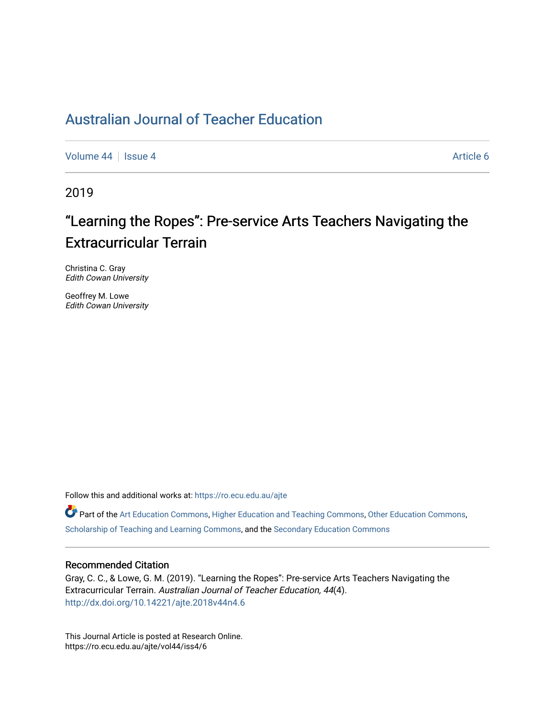## [Australian Journal of Teacher Education](https://ro.ecu.edu.au/ajte)

[Volume 44](https://ro.ecu.edu.au/ajte/vol44) | [Issue 4](https://ro.ecu.edu.au/ajte/vol44/iss4) Article 6

2019

# "Learning the Ropes": Pre-service Arts Teachers Navigating the Extracurricular Terrain

Christina C. Gray Edith Cowan University

Geoffrey M. Lowe Edith Cowan University

Follow this and additional works at: [https://ro.ecu.edu.au/ajte](https://ro.ecu.edu.au/ajte?utm_source=ro.ecu.edu.au%2Fajte%2Fvol44%2Fiss4%2F6&utm_medium=PDF&utm_campaign=PDFCoverPages) 

Part of the [Art Education Commons](http://network.bepress.com/hgg/discipline/1149?utm_source=ro.ecu.edu.au%2Fajte%2Fvol44%2Fiss4%2F6&utm_medium=PDF&utm_campaign=PDFCoverPages), [Higher Education and Teaching Commons](http://network.bepress.com/hgg/discipline/806?utm_source=ro.ecu.edu.au%2Fajte%2Fvol44%2Fiss4%2F6&utm_medium=PDF&utm_campaign=PDFCoverPages), [Other Education Commons,](http://network.bepress.com/hgg/discipline/811?utm_source=ro.ecu.edu.au%2Fajte%2Fvol44%2Fiss4%2F6&utm_medium=PDF&utm_campaign=PDFCoverPages) [Scholarship of Teaching and Learning Commons](http://network.bepress.com/hgg/discipline/1328?utm_source=ro.ecu.edu.au%2Fajte%2Fvol44%2Fiss4%2F6&utm_medium=PDF&utm_campaign=PDFCoverPages), and the [Secondary Education Commons](http://network.bepress.com/hgg/discipline/1382?utm_source=ro.ecu.edu.au%2Fajte%2Fvol44%2Fiss4%2F6&utm_medium=PDF&utm_campaign=PDFCoverPages)

#### Recommended Citation

Gray, C. C., & Lowe, G. M. (2019). "Learning the Ropes": Pre-service Arts Teachers Navigating the Extracurricular Terrain. Australian Journal of Teacher Education, 44(4). <http://dx.doi.org/10.14221/ajte.2018v44n4.6>

This Journal Article is posted at Research Online. https://ro.ecu.edu.au/ajte/vol44/iss4/6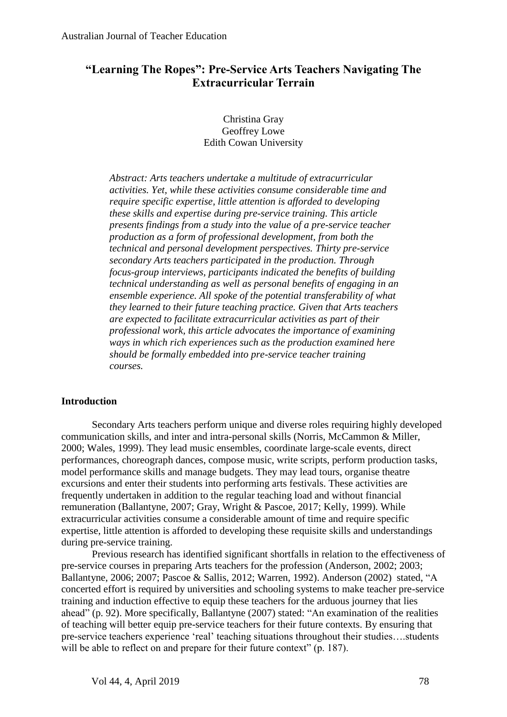## **"Learning The Ropes": Pre-Service Arts Teachers Navigating The Extracurricular Terrain**

Christina Gray Geoffrey Lowe Edith Cowan University

*Abstract: Arts teachers undertake a multitude of extracurricular activities. Yet, while these activities consume considerable time and require specific expertise, little attention is afforded to developing these skills and expertise during pre-service training. This article presents findings from a study into the value of a pre-service teacher production as a form of professional development, from both the technical and personal development perspectives. Thirty pre-service secondary Arts teachers participated in the production. Through focus-group interviews, participants indicated the benefits of building technical understanding as well as personal benefits of engaging in an ensemble experience. All spoke of the potential transferability of what they learned to their future teaching practice. Given that Arts teachers are expected to facilitate extracurricular activities as part of their professional work, this article advocates the importance of examining ways in which rich experiences such as the production examined here should be formally embedded into pre-service teacher training courses.*

## **Introduction**

Secondary Arts teachers perform unique and diverse roles requiring highly developed communication skills, and inter and intra-personal skills (Norris, McCammon & Miller, 2000; Wales, 1999). They lead music ensembles, coordinate large-scale events, direct performances, choreograph dances, compose music, write scripts, perform production tasks, model performance skills and manage budgets. They may lead tours, organise theatre excursions and enter their students into performing arts festivals. These activities are frequently undertaken in addition to the regular teaching load and without financial remuneration (Ballantyne, 2007; Gray, Wright & Pascoe, 2017; Kelly, 1999). While extracurricular activities consume a considerable amount of time and require specific expertise, little attention is afforded to developing these requisite skills and understandings during pre-service training.

Previous research has identified significant shortfalls in relation to the effectiveness of pre-service courses in preparing Arts teachers for the profession (Anderson, 2002; 2003; Ballantyne, 2006; 2007; Pascoe & Sallis, 2012; Warren, 1992). Anderson (2002) stated, "A concerted effort is required by universities and schooling systems to make teacher pre-service training and induction effective to equip these teachers for the arduous journey that lies ahead" (p. 92). More specifically, Ballantyne (2007) stated: "An examination of the realities of teaching will better equip pre-service teachers for their future contexts. By ensuring that pre-service teachers experience 'real' teaching situations throughout their studies….students will be able to reflect on and prepare for their future context" (p. 187).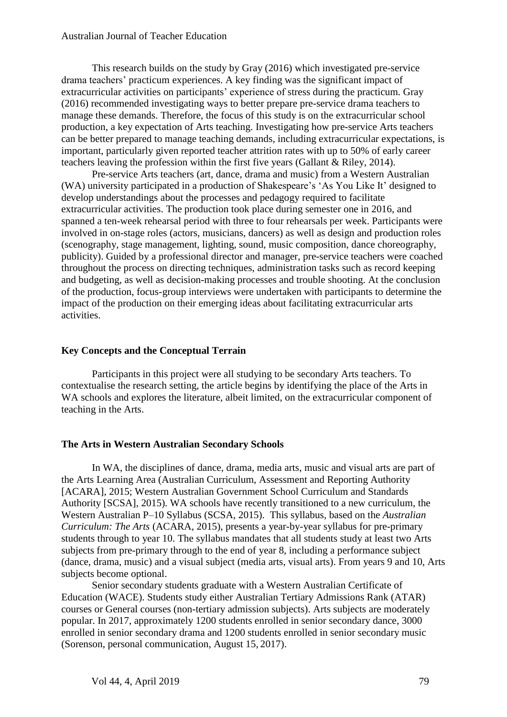This research builds on the study by Gray (2016) which investigated pre-service drama teachers' practicum experiences. A key finding was the significant impact of extracurricular activities on participants' experience of stress during the practicum. Gray (2016) recommended investigating ways to better prepare pre-service drama teachers to manage these demands. Therefore, the focus of this study is on the extracurricular school production, a key expectation of Arts teaching. Investigating how pre-service Arts teachers can be better prepared to manage teaching demands, including extracurricular expectations, is important, particularly given reported teacher attrition rates with up to 50% of early career teachers leaving the profession within the first five years (Gallant & Riley, 2014).

Pre-service Arts teachers (art, dance, drama and music) from a Western Australian (WA) university participated in a production of Shakespeare's 'As You Like It' designed to develop understandings about the processes and pedagogy required to facilitate extracurricular activities. The production took place during semester one in 2016, and spanned a ten-week rehearsal period with three to four rehearsals per week. Participants were involved in on-stage roles (actors, musicians, dancers) as well as design and production roles (scenography, stage management, lighting, sound, music composition, dance choreography, publicity). Guided by a professional director and manager, pre-service teachers were coached throughout the process on directing techniques, administration tasks such as record keeping and budgeting, as well as decision-making processes and trouble shooting. At the conclusion of the production, focus-group interviews were undertaken with participants to determine the impact of the production on their emerging ideas about facilitating extracurricular arts activities.

#### **Key Concepts and the Conceptual Terrain**

Participants in this project were all studying to be secondary Arts teachers. To contextualise the research setting, the article begins by identifying the place of the Arts in WA schools and explores the literature, albeit limited, on the extracurricular component of teaching in the Arts.

#### **The Arts in Western Australian Secondary Schools**

In WA, the disciplines of dance, drama, media arts, music and visual arts are part of the Arts Learning Area (Australian Curriculum, Assessment and Reporting Authority [ACARA], 2015; Western Australian Government School Curriculum and Standards Authority [SCSA], 2015). WA schools have recently transitioned to a new curriculum, the Western Australian P–10 Syllabus (SCSA, 2015). This syllabus, based on the *Australian Curriculum: The Arts* (ACARA, 2015)*,* presents a year-by-year syllabus for pre-primary students through to year 10. The syllabus mandates that all students study at least two Arts subjects from pre-primary through to the end of year 8, including a performance subject (dance, drama, music) and a visual subject (media arts, visual arts). From years 9 and 10, Arts subjects become optional.

Senior secondary students graduate with a Western Australian Certificate of Education (WACE). Students study either Australian Tertiary Admissions Rank (ATAR) courses or General courses (non-tertiary admission subjects). Arts subjects are moderately popular. In 2017, approximately 1200 students enrolled in senior secondary dance, 3000 enrolled in senior secondary drama and 1200 students enrolled in senior secondary music (Sorenson, personal communication, August 15, 2017).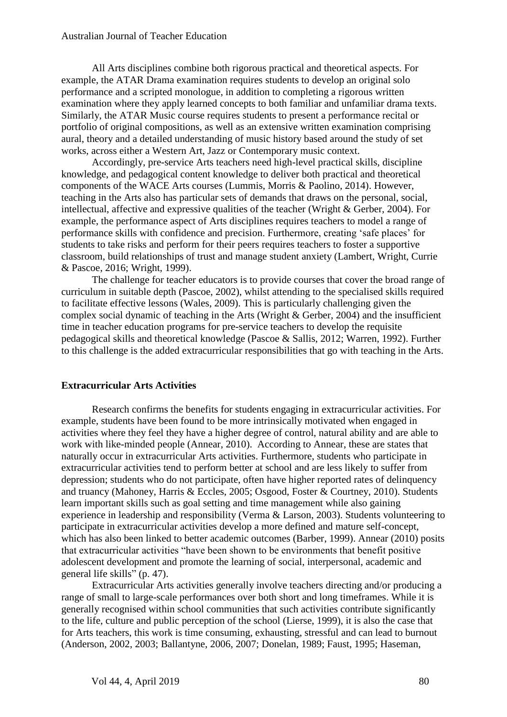#### Australian Journal of Teacher Education

All Arts disciplines combine both rigorous practical and theoretical aspects. For example, the ATAR Drama examination requires students to develop an original solo performance and a scripted monologue, in addition to completing a rigorous written examination where they apply learned concepts to both familiar and unfamiliar drama texts. Similarly, the ATAR Music course requires students to present a performance recital or portfolio of original compositions, as well as an extensive written examination comprising aural, theory and a detailed understanding of music history based around the study of set works, across either a Western Art, Jazz or Contemporary music context.

Accordingly, pre-service Arts teachers need high-level practical skills, discipline knowledge, and pedagogical content knowledge to deliver both practical and theoretical components of the WACE Arts courses (Lummis, Morris & Paolino, 2014). However, teaching in the Arts also has particular sets of demands that draws on the personal, social, intellectual, affective and expressive qualities of the teacher (Wright & Gerber, 2004). For example, the performance aspect of Arts disciplines requires teachers to model a range of performance skills with confidence and precision. Furthermore, creating 'safe places' for students to take risks and perform for their peers requires teachers to foster a supportive classroom, build relationships of trust and manage student anxiety (Lambert, Wright, Currie & Pascoe, 2016; Wright, 1999).

The challenge for teacher educators is to provide courses that cover the broad range of curriculum in suitable depth (Pascoe, 2002), whilst attending to the specialised skills required to facilitate effective lessons (Wales, 2009). This is particularly challenging given the complex social dynamic of teaching in the Arts (Wright & Gerber, 2004) and the insufficient time in teacher education programs for pre-service teachers to develop the requisite pedagogical skills and theoretical knowledge (Pascoe & Sallis, 2012; Warren, 1992). Further to this challenge is the added extracurricular responsibilities that go with teaching in the Arts.

#### **Extracurricular Arts Activities**

Research confirms the benefits for students engaging in extracurricular activities. For example, students have been found to be more intrinsically motivated when engaged in activities where they feel they have a higher degree of control, natural ability and are able to work with like-minded people (Annear, 2010). According to Annear, these are states that naturally occur in extracurricular Arts activities. Furthermore, students who participate in extracurricular activities tend to perform better at school and are less likely to suffer from depression; students who do not participate, often have higher reported rates of delinquency and truancy (Mahoney, Harris & Eccles, 2005; Osgood, Foster & Courtney, 2010). Students learn important skills such as goal setting and time management while also gaining experience in leadership and responsibility (Verma & Larson, 2003). Students volunteering to participate in extracurricular activities develop a more defined and mature self-concept, which has also been linked to better academic outcomes (Barber, 1999). Annear (2010) posits that extracurricular activities "have been shown to be environments that benefit positive adolescent development and promote the learning of social, interpersonal, academic and general life skills" (p. 47).

Extracurricular Arts activities generally involve teachers directing and/or producing a range of small to large-scale performances over both short and long timeframes. While it is generally recognised within school communities that such activities contribute significantly to the life, culture and public perception of the school (Lierse, 1999), it is also the case that for Arts teachers, this work is time consuming, exhausting, stressful and can lead to burnout (Anderson, 2002, 2003; Ballantyne, 2006, 2007; Donelan, 1989; Faust, 1995; Haseman,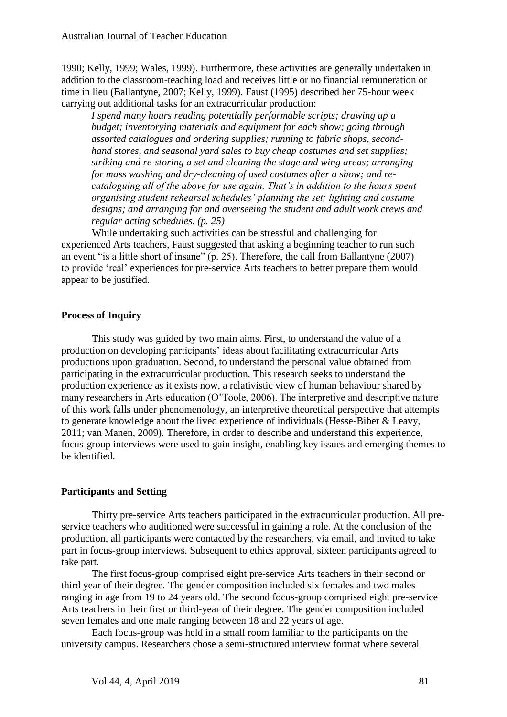1990; Kelly, 1999; Wales, 1999). Furthermore, these activities are generally undertaken in addition to the classroom-teaching load and receives little or no financial remuneration or time in lieu (Ballantyne, 2007; Kelly, 1999). Faust (1995) described her 75-hour week carrying out additional tasks for an extracurricular production:

*I spend many hours reading potentially performable scripts; drawing up a budget; inventorying materials and equipment for each show; going through assorted catalogues and ordering supplies; running to fabric shops, secondhand stores, and seasonal yard sales to buy cheap costumes and set supplies; striking and re-storing a set and cleaning the stage and wing areas; arranging for mass washing and dry-cleaning of used costumes after a show; and recataloguing all of the above for use again. That's in addition to the hours spent organising student rehearsal schedules' planning the set; lighting and costume designs; and arranging for and overseeing the student and adult work crews and regular acting schedules. (p. 25)*

While undertaking such activities can be stressful and challenging for experienced Arts teachers, Faust suggested that asking a beginning teacher to run such an event "is a little short of insane" (p. 25). Therefore, the call from Ballantyne (2007) to provide 'real' experiences for pre-service Arts teachers to better prepare them would appear to be justified.

#### **Process of Inquiry**

This study was guided by two main aims. First, to understand the value of a production on developing participants' ideas about facilitating extracurricular Arts productions upon graduation. Second, to understand the personal value obtained from participating in the extracurricular production. This research seeks to understand the production experience as it exists now, a relativistic view of human behaviour shared by many researchers in Arts education (O'Toole, 2006). The interpretive and descriptive nature of this work falls under phenomenology, an interpretive theoretical perspective that attempts to generate knowledge about the lived experience of individuals (Hesse-Biber & Leavy, 2011; van Manen, 2009). Therefore, in order to describe and understand this experience, focus-group interviews were used to gain insight, enabling key issues and emerging themes to be identified.

## **Participants and Setting**

Thirty pre-service Arts teachers participated in the extracurricular production. All preservice teachers who auditioned were successful in gaining a role. At the conclusion of the production, all participants were contacted by the researchers, via email, and invited to take part in focus-group interviews. Subsequent to ethics approval, sixteen participants agreed to take part.

The first focus-group comprised eight pre-service Arts teachers in their second or third year of their degree. The gender composition included six females and two males ranging in age from 19 to 24 years old. The second focus-group comprised eight pre-service Arts teachers in their first or third-year of their degree. The gender composition included seven females and one male ranging between 18 and 22 years of age.

Each focus-group was held in a small room familiar to the participants on the university campus. Researchers chose a semi-structured interview format where several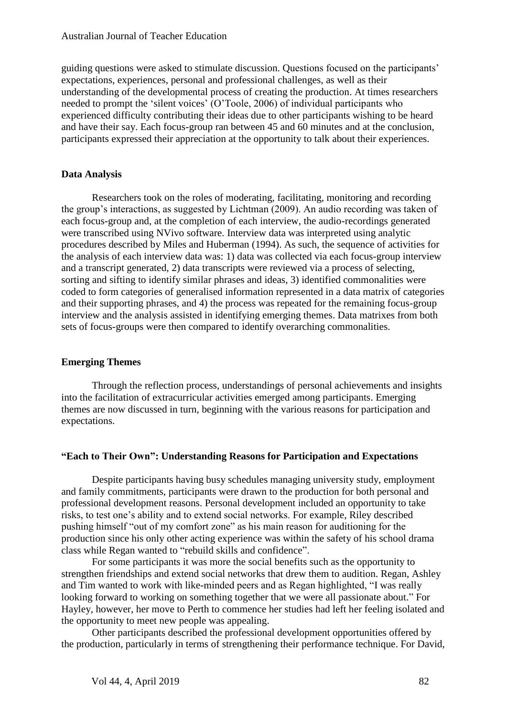guiding questions were asked to stimulate discussion. Questions focused on the participants' expectations, experiences, personal and professional challenges, as well as their understanding of the developmental process of creating the production. At times researchers needed to prompt the 'silent voices' (O'Toole, 2006) of individual participants who experienced difficulty contributing their ideas due to other participants wishing to be heard and have their say. Each focus-group ran between 45 and 60 minutes and at the conclusion, participants expressed their appreciation at the opportunity to talk about their experiences.

#### **Data Analysis**

Researchers took on the roles of moderating, facilitating, monitoring and recording the group's interactions, as suggested by Lichtman (2009). An audio recording was taken of each focus-group and, at the completion of each interview, the audio-recordings generated were transcribed using NVivo software. Interview data was interpreted using analytic procedures described by Miles and Huberman (1994). As such, the sequence of activities for the analysis of each interview data was: 1) data was collected via each focus-group interview and a transcript generated, 2) data transcripts were reviewed via a process of selecting, sorting and sifting to identify similar phrases and ideas, 3) identified commonalities were coded to form categories of generalised information represented in a data matrix of categories and their supporting phrases, and 4) the process was repeated for the remaining focus-group interview and the analysis assisted in identifying emerging themes. Data matrixes from both sets of focus-groups were then compared to identify overarching commonalities.

#### **Emerging Themes**

Through the reflection process, understandings of personal achievements and insights into the facilitation of extracurricular activities emerged among participants. Emerging themes are now discussed in turn, beginning with the various reasons for participation and expectations.

#### **"Each to Their Own": Understanding Reasons for Participation and Expectations**

Despite participants having busy schedules managing university study, employment and family commitments, participants were drawn to the production for both personal and professional development reasons. Personal development included an opportunity to take risks, to test one's ability and to extend social networks. For example, Riley described pushing himself "out of my comfort zone" as his main reason for auditioning for the production since his only other acting experience was within the safety of his school drama class while Regan wanted to "rebuild skills and confidence".

For some participants it was more the social benefits such as the opportunity to strengthen friendships and extend social networks that drew them to audition. Regan, Ashley and Tim wanted to work with like-minded peers and as Regan highlighted, "I was really looking forward to working on something together that we were all passionate about." For Hayley, however, her move to Perth to commence her studies had left her feeling isolated and the opportunity to meet new people was appealing.

Other participants described the professional development opportunities offered by the production, particularly in terms of strengthening their performance technique. For David,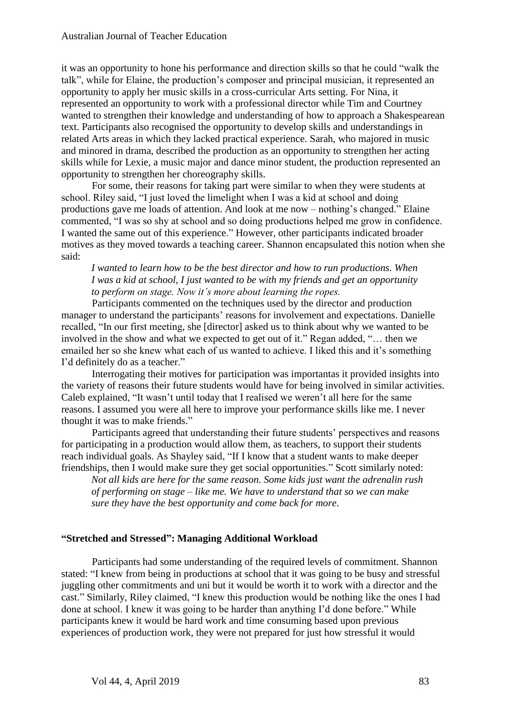it was an opportunity to hone his performance and direction skills so that he could "walk the talk", while for Elaine, the production's composer and principal musician, it represented an opportunity to apply her music skills in a cross-curricular Arts setting. For Nina, it represented an opportunity to work with a professional director while Tim and Courtney wanted to strengthen their knowledge and understanding of how to approach a Shakespearean text. Participants also recognised the opportunity to develop skills and understandings in related Arts areas in which they lacked practical experience. Sarah, who majored in music and minored in drama, described the production as an opportunity to strengthen her acting skills while for Lexie, a music major and dance minor student, the production represented an opportunity to strengthen her choreography skills.

For some, their reasons for taking part were similar to when they were students at school. Riley said, "I just loved the limelight when I was a kid at school and doing productions gave me loads of attention. And look at me now – nothing's changed." Elaine commented, "I was so shy at school and so doing productions helped me grow in confidence. I wanted the same out of this experience." However, other participants indicated broader motives as they moved towards a teaching career. Shannon encapsulated this notion when she said:

*I wanted to learn how to be the best director and how to run productions. When I was a kid at school, I just wanted to be with my friends and get an opportunity to perform on stage. Now it's more about learning the ropes.* 

Participants commented on the techniques used by the director and production manager to understand the participants' reasons for involvement and expectations. Danielle recalled, "In our first meeting, she [director] asked us to think about why we wanted to be involved in the show and what we expected to get out of it." Regan added, "… then we emailed her so she knew what each of us wanted to achieve. I liked this and it's something I'd definitely do as a teacher."

Interrogating their motives for participation was importantas it provided insights into the variety of reasons their future students would have for being involved in similar activities. Caleb explained, "It wasn't until today that I realised we weren't all here for the same reasons. I assumed you were all here to improve your performance skills like me. I never thought it was to make friends."

Participants agreed that understanding their future students' perspectives and reasons for participating in a production would allow them, as teachers, to support their students reach individual goals. As Shayley said, "If I know that a student wants to make deeper friendships, then I would make sure they get social opportunities." Scott similarly noted:

*Not all kids are here for the same reason. Some kids just want the adrenalin rush of performing on stage – like me. We have to understand that so we can make sure they have the best opportunity and come back for more*.

#### **"Stretched and Stressed": Managing Additional Workload**

Participants had some understanding of the required levels of commitment. Shannon stated: "I knew from being in productions at school that it was going to be busy and stressful juggling other commitments and uni but it would be worth it to work with a director and the cast." Similarly, Riley claimed, "I knew this production would be nothing like the ones I had done at school. I knew it was going to be harder than anything I'd done before." While participants knew it would be hard work and time consuming based upon previous experiences of production work, they were not prepared for just how stressful it would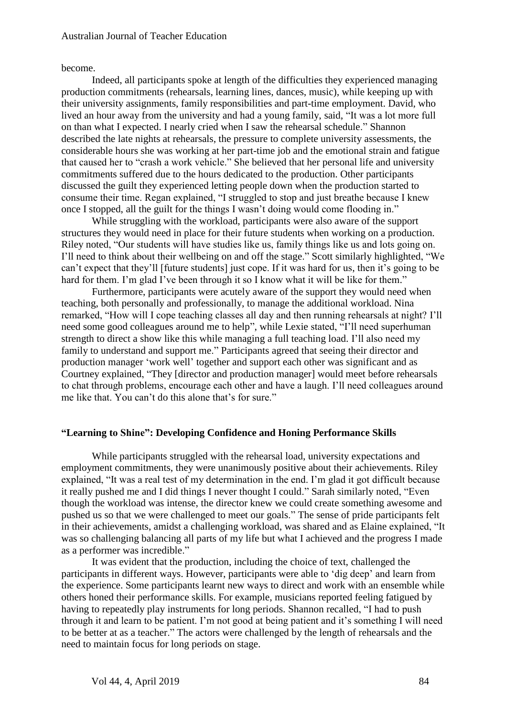become.

Indeed, all participants spoke at length of the difficulties they experienced managing production commitments (rehearsals, learning lines, dances, music), while keeping up with their university assignments, family responsibilities and part-time employment. David, who lived an hour away from the university and had a young family, said, "It was a lot more full on than what I expected. I nearly cried when I saw the rehearsal schedule." Shannon described the late nights at rehearsals, the pressure to complete university assessments, the considerable hours she was working at her part-time job and the emotional strain and fatigue that caused her to "crash a work vehicle." She believed that her personal life and university commitments suffered due to the hours dedicated to the production. Other participants discussed the guilt they experienced letting people down when the production started to consume their time. Regan explained, "I struggled to stop and just breathe because I knew once I stopped, all the guilt for the things I wasn't doing would come flooding in."

While struggling with the workload, participants were also aware of the support structures they would need in place for their future students when working on a production. Riley noted, "Our students will have studies like us, family things like us and lots going on. I'll need to think about their wellbeing on and off the stage." Scott similarly highlighted, "We can't expect that they'll [future students] just cope. If it was hard for us, then it's going to be hard for them. I'm glad I've been through it so I know what it will be like for them."

Furthermore, participants were acutely aware of the support they would need when teaching, both personally and professionally, to manage the additional workload. Nina remarked, "How will I cope teaching classes all day and then running rehearsals at night? I'll need some good colleagues around me to help", while Lexie stated, "I'll need superhuman strength to direct a show like this while managing a full teaching load. I'll also need my family to understand and support me." Participants agreed that seeing their director and production manager 'work well' together and support each other was significant and as Courtney explained, "They [director and production manager] would meet before rehearsals to chat through problems, encourage each other and have a laugh. I'll need colleagues around me like that. You can't do this alone that's for sure."

#### **"Learning to Shine": Developing Confidence and Honing Performance Skills**

While participants struggled with the rehearsal load, university expectations and employment commitments, they were unanimously positive about their achievements. Riley explained, "It was a real test of my determination in the end. I'm glad it got difficult because it really pushed me and I did things I never thought I could." Sarah similarly noted, "Even though the workload was intense, the director knew we could create something awesome and pushed us so that we were challenged to meet our goals." The sense of pride participants felt in their achievements, amidst a challenging workload, was shared and as Elaine explained, "It was so challenging balancing all parts of my life but what I achieved and the progress I made as a performer was incredible."

It was evident that the production, including the choice of text, challenged the participants in different ways. However, participants were able to 'dig deep' and learn from the experience. Some participants learnt new ways to direct and work with an ensemble while others honed their performance skills. For example, musicians reported feeling fatigued by having to repeatedly play instruments for long periods. Shannon recalled, "I had to push through it and learn to be patient. I'm not good at being patient and it's something I will need to be better at as a teacher." The actors were challenged by the length of rehearsals and the need to maintain focus for long periods on stage.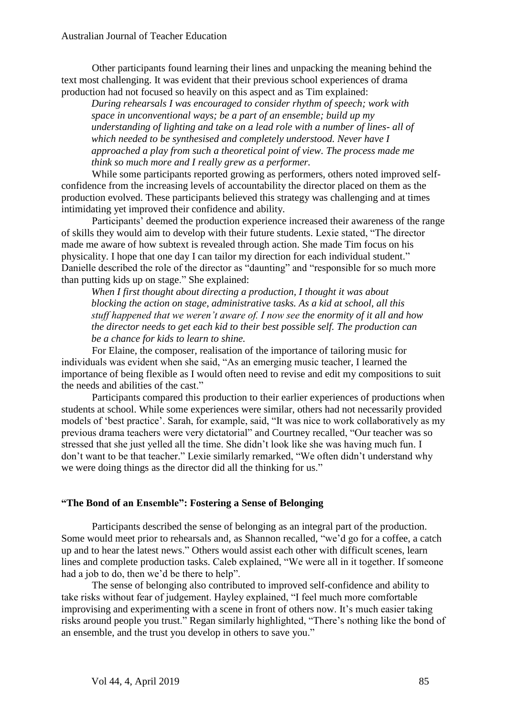Other participants found learning their lines and unpacking the meaning behind the text most challenging. It was evident that their previous school experiences of drama production had not focused so heavily on this aspect and as Tim explained:

*During rehearsals I was encouraged to consider rhythm of speech; work with space in unconventional ways; be a part of an ensemble; build up my understanding of lighting and take on a lead role with a number of lines- all of which needed to be synthesised and completely understood. Never have I approached a play from such a theoretical point of view. The process made me think so much more and I really grew as a performer.*

While some participants reported growing as performers, others noted improved selfconfidence from the increasing levels of accountability the director placed on them as the production evolved. These participants believed this strategy was challenging and at times intimidating yet improved their confidence and ability.

Participants' deemed the production experience increased their awareness of the range of skills they would aim to develop with their future students. Lexie stated, "The director made me aware of how subtext is revealed through action. She made Tim focus on his physicality. I hope that one day I can tailor my direction for each individual student." Danielle described the role of the director as "daunting" and "responsible for so much more than putting kids up on stage." She explained:

*When I first thought about directing a production, I thought it was about blocking the action on stage, administrative tasks. As a kid at school, all this stuff happened that we weren't aware of. I now see the enormity of it all and how the director needs to get each kid to their best possible self. The production can be a chance for kids to learn to shine.* 

For Elaine, the composer, realisation of the importance of tailoring music for individuals was evident when she said, "As an emerging music teacher, I learned the importance of being flexible as I would often need to revise and edit my compositions to suit the needs and abilities of the cast."

Participants compared this production to their earlier experiences of productions when students at school. While some experiences were similar, others had not necessarily provided models of 'best practice'. Sarah, for example, said, "It was nice to work collaboratively as my previous drama teachers were very dictatorial" and Courtney recalled, "Our teacher was so stressed that she just yelled all the time. She didn't look like she was having much fun. I don't want to be that teacher." Lexie similarly remarked, "We often didn't understand why we were doing things as the director did all the thinking for us."

#### **"The Bond of an Ensemble": Fostering a Sense of Belonging**

Participants described the sense of belonging as an integral part of the production. Some would meet prior to rehearsals and, as Shannon recalled, "we'd go for a coffee, a catch up and to hear the latest news." Others would assist each other with difficult scenes, learn lines and complete production tasks. Caleb explained, "We were all in it together. If someone had a job to do, then we'd be there to help".

The sense of belonging also contributed to improved self-confidence and ability to take risks without fear of judgement. Hayley explained, "I feel much more comfortable improvising and experimenting with a scene in front of others now. It's much easier taking risks around people you trust." Regan similarly highlighted, "There's nothing like the bond of an ensemble, and the trust you develop in others to save you."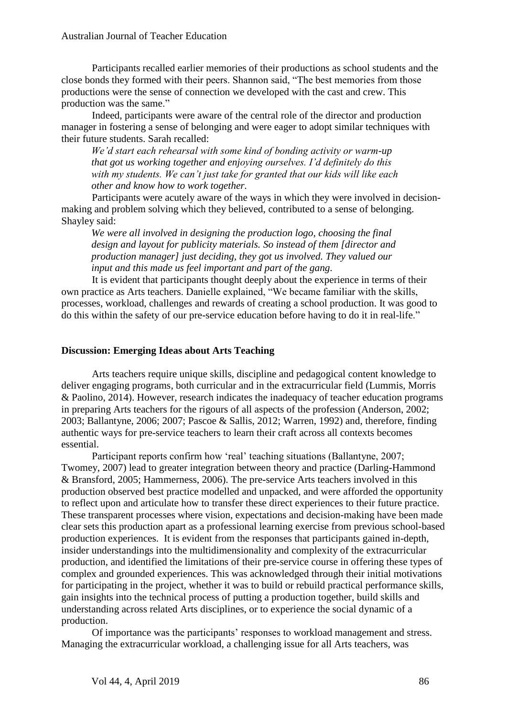Participants recalled earlier memories of their productions as school students and the close bonds they formed with their peers. Shannon said, "The best memories from those productions were the sense of connection we developed with the cast and crew. This production was the same."

Indeed, participants were aware of the central role of the director and production manager in fostering a sense of belonging and were eager to adopt similar techniques with their future students. Sarah recalled:

*We'd start each rehearsal with some kind of bonding activity or warm-up that got us working together and enjoying ourselves. I'd definitely do this with my students. We can't just take for granted that our kids will like each other and know how to work together.*

Participants were acutely aware of the ways in which they were involved in decisionmaking and problem solving which they believed, contributed to a sense of belonging. Shayley said:

*We were all involved in designing the production logo, choosing the final design and layout for publicity materials. So instead of them [director and production manager] just deciding, they got us involved. They valued our input and this made us feel important and part of the gang.*

It is evident that participants thought deeply about the experience in terms of their own practice as Arts teachers. Danielle explained, "We became familiar with the skills, processes, workload, challenges and rewards of creating a school production. It was good to do this within the safety of our pre-service education before having to do it in real-life."

#### **Discussion: Emerging Ideas about Arts Teaching**

Arts teachers require unique skills, discipline and pedagogical content knowledge to deliver engaging programs, both curricular and in the extracurricular field (Lummis, Morris & Paolino, 2014). However, research indicates the inadequacy of teacher education programs in preparing Arts teachers for the rigours of all aspects of the profession (Anderson, 2002; 2003; Ballantyne, 2006; 2007; Pascoe & Sallis, 2012; Warren, 1992) and, therefore, finding authentic ways for pre-service teachers to learn their craft across all contexts becomes essential.

Participant reports confirm how 'real' teaching situations (Ballantyne, 2007; Twomey, 2007) lead to greater integration between theory and practice (Darling-Hammond & Bransford, 2005; Hammerness, 2006). The pre-service Arts teachers involved in this production observed best practice modelled and unpacked, and were afforded the opportunity to reflect upon and articulate how to transfer these direct experiences to their future practice. These transparent processes where vision, expectations and decision-making have been made clear sets this production apart as a professional learning exercise from previous school-based production experiences. It is evident from the responses that participants gained in-depth, insider understandings into the multidimensionality and complexity of the extracurricular production, and identified the limitations of their pre-service course in offering these types of complex and grounded experiences. This was acknowledged through their initial motivations for participating in the project, whether it was to build or rebuild practical performance skills, gain insights into the technical process of putting a production together, build skills and understanding across related Arts disciplines, or to experience the social dynamic of a production.

Of importance was the participants' responses to workload management and stress. Managing the extracurricular workload, a challenging issue for all Arts teachers, was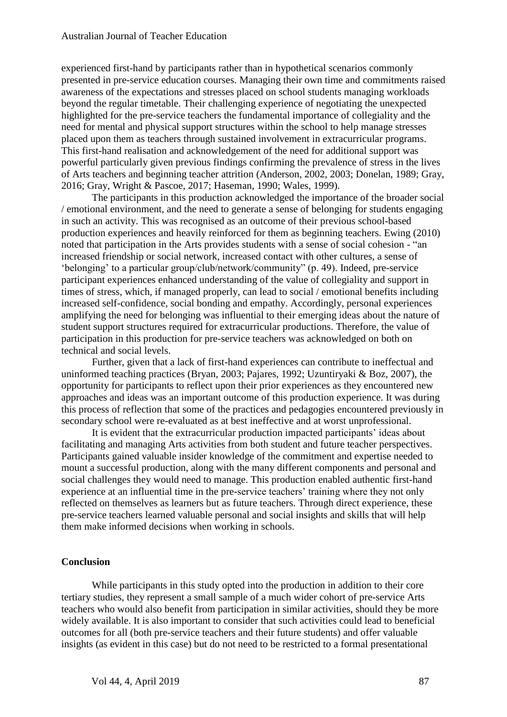experienced first-hand by participants rather than in hypothetical scenarios commonly presented in pre-service education courses. Managing their own time and commitments raised awareness of the expectations and stresses placed on school students managing workloads beyond the regular timetable. Their challenging experience of negotiating the unexpected highlighted for the pre-service teachers the fundamental importance of collegiality and the need for mental and physical support structures within the school to help manage stresses placed upon them as teachers through sustained involvement in extracurricular programs. This first-hand realisation and acknowledgement of the need for additional support was powerful particularly given previous findings confirming the prevalence of stress in the lives of Arts teachers and beginning teacher attrition (Anderson, 2002, 2003; Donelan, 1989; Gray, 2016; Gray, Wright & Pascoe, 2017; Haseman, 1990; Wales, 1999).

The participants in this production acknowledged the importance of the broader social / emotional environment, and the need to generate a sense of belonging for students engaging in such an activity. This was recognised as an outcome of their previous school-based production experiences and heavily reinforced for them as beginning teachers. Ewing (2010) noted that participation in the Arts provides students with a sense of social cohesion - "an increased friendship or social network, increased contact with other cultures, a sense of 'belonging' to a particular group/club/network/community" (p. 49). Indeed, pre-service participant experiences enhanced understanding of the value of collegiality and support in times of stress, which, if managed properly, can lead to social / emotional benefits including increased self-confidence, social bonding and empathy. Accordingly, personal experiences amplifying the need for belonging was influential to their emerging ideas about the nature of student support structures required for extracurricular productions. Therefore, the value of participation in this production for pre-service teachers was acknowledged on both on technical and social levels.

Further, given that a lack of first-hand experiences can contribute to ineffectual and uninformed teaching practices (Bryan, 2003; Pajares, 1992; Uzuntiryaki & Boz, 2007), the opportunity for participants to reflect upon their prior experiences as they encountered new approaches and ideas was an important outcome of this production experience. It was during this process of reflection that some of the practices and pedagogies encountered previously in secondary school were re-evaluated as at best ineffective and at worst unprofessional.

It is evident that the extracurricular production impacted participants' ideas about facilitating and managing Arts activities from both student and future teacher perspectives. Participants gained valuable insider knowledge of the commitment and expertise needed to mount a successful production, along with the many different components and personal and social challenges they would need to manage. This production enabled authentic first-hand experience at an influential time in the pre-service teachers' training where they not only reflected on themselves as learners but as future teachers. Through direct experience, these pre-service teachers learned valuable personal and social insights and skills that will help them make informed decisions when working in schools.

#### **Conclusion**

While participants in this study opted into the production in addition to their core tertiary studies, they represent a small sample of a much wider cohort of pre-service Arts teachers who would also benefit from participation in similar activities, should they be more widely available. It is also important to consider that such activities could lead to beneficial outcomes for all (both pre-service teachers and their future students) and offer valuable insights (as evident in this case) but do not need to be restricted to a formal presentational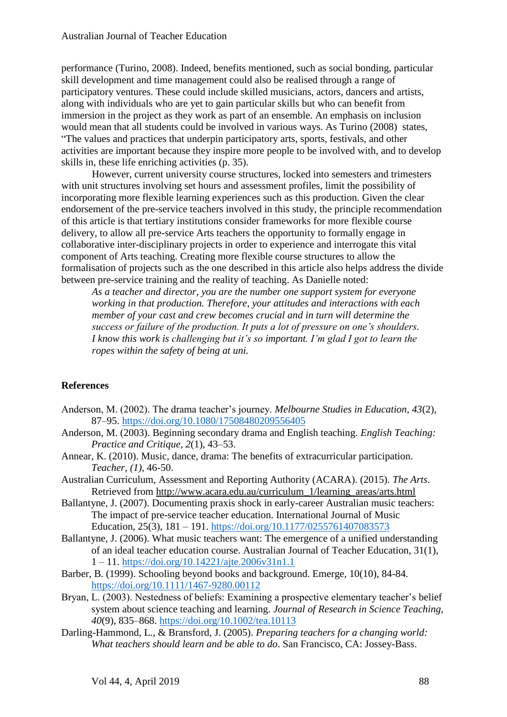performance (Turino, 2008). Indeed, benefits mentioned, such as social bonding, particular skill development and time management could also be realised through a range of participatory ventures. These could include skilled musicians, actors, dancers and artists, along with individuals who are yet to gain particular skills but who can benefit from immersion in the project as they work as part of an ensemble. An emphasis on inclusion would mean that all students could be involved in various ways. As Turino (2008) states, "The values and practices that underpin participatory arts, sports, festivals, and other activities are important because they inspire more people to be involved with, and to develop skills in, these life enriching activities (p. 35).

However, current university course structures, locked into semesters and trimesters with unit structures involving set hours and assessment profiles, limit the possibility of incorporating more flexible learning experiences such as this production. Given the clear endorsement of the pre-service teachers involved in this study, the principle recommendation of this article is that tertiary institutions consider frameworks for more flexible course delivery, to allow all pre-service Arts teachers the opportunity to formally engage in collaborative inter-disciplinary projects in order to experience and interrogate this vital component of Arts teaching. Creating more flexible course structures to allow the formalisation of projects such as the one described in this article also helps address the divide between pre-service training and the reality of teaching. As Danielle noted:

*As a teacher and director, you are the number one support system for everyone working in that production. Therefore, your attitudes and interactions with each member of your cast and crew becomes crucial and in turn will determine the success or failure of the production. It puts a lot of pressure on one's shoulders. I know this work is challenging but it's so important. I'm glad I got to learn the ropes within the safety of being at uni.* 

## **References**

- Anderson, M. (2002). The drama teacher's journey. *Melbourne Studies in Education, 43*(2), 87–95.<https://doi.org/10.1080/17508480209556405>
- Anderson, M. (2003). Beginning secondary drama and English teaching. *English Teaching: Practice and Critique, 2*(1), 43–53.
- Annear, K. (2010). Music, dance, drama: The benefits of extracurricular participation. *Teacher, (1)*, 46-50.
- Australian Curriculum, Assessment and Reporting Authority (ACARA). (2015). *The Arts*. Retrieved from [http://www.acara.edu.au/curriculum\\_1/learning\\_areas/arts.html](http://www.acara.edu.au/curriculum_1/learning_areas/arts.html)
- Ballantyne, J. (2007). Documenting praxis shock in early-career Australian music teachers: The impact of pre-service teacher education. International Journal of Music Education, 25(3), 181 – 191.<https://doi.org/10.1177/0255761407083573>
- Ballantyne, J. (2006). What music teachers want: The emergence of a unified understanding of an ideal teacher education course. Australian Journal of Teacher Education, 31(1), 1 – 11.<https://doi.org/10.14221/ajte.2006v31n1.1>
- Barber, B. (1999). Schooling beyond books and background. Emerge, 10(10), 84-84. <https://doi.org/10.1111/1467-9280.00112>
- Bryan, L. (2003). Nestedness of beliefs: Examining a prospective elementary teacher's belief system about science teaching and learning. *Journal of Research in Science Teaching, 40*(9), 835–868. <https://doi.org/10.1002/tea.10113>
- Darling-Hammond, L., & Bransford, J. (2005). *Preparing teachers for a changing world: What teachers should learn and be able to do*. San Francisco, CA: Jossey-Bass.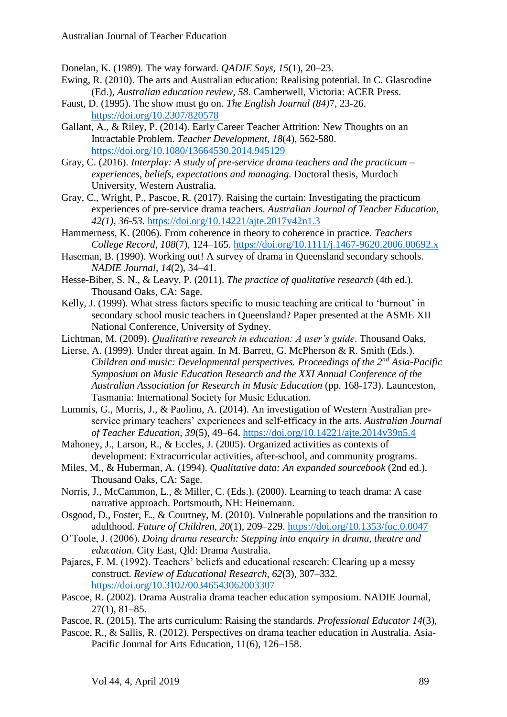Donelan, K. (1989). The way forward. *QADIE Says, 15*(1), 20–23.

- Ewing, R. (2010). The arts and Australian education: Realising potential. In C. Glascodine (Ed.), *Australian education review, 58*. Camberwell, Victoria: ACER Press.
- Faust, D. (1995). The show must go on. *The English Journal (84)*7, 23-26. <https://doi.org/10.2307/820578>
- Gallant, A., & Riley, P. (2014). Early Career Teacher Attrition: New Thoughts on an Intractable Problem. *Teacher Development*, *18*(4), 562-580. <https://doi.org/10.1080/13664530.2014.945129>
- Gray, C. (2016). *Interplay: A study of pre-service drama teachers and the practicum – experiences, beliefs, expectations and managing.* Doctoral thesis, Murdoch University, Western Australia.
- Gray, C., Wright, P., Pascoe, R. (2017). Raising the curtain: Investigating the practicum experiences of pre-service drama teachers. *Australian Journal of Teacher Education, 42(1), 36-53.* <https://doi.org/10.14221/ajte.2017v42n1.3>
- Hammerness, K. (2006). From coherence in theory to coherence in practice. *Teachers College Record, 108*(7), 124–165.<https://doi.org/10.1111/j.1467-9620.2006.00692.x>
- Haseman, B. (1990). Working out! A survey of drama in Queensland secondary schools. *NADIE Journal, 14*(2), 34–41.
- Hesse-Biber, S. N., & Leavy, P. (2011). *The practice of qualitative research* (4th ed.). Thousand Oaks, CA: Sage.
- Kelly, J. (1999). What stress factors specific to music teaching are critical to 'burnout' in secondary school music teachers in Queensland? Paper presented at the ASME XII National Conference, University of Sydney.
- Lichtman, M. (2009). *Qualitative research in education: A user's guide*. Thousand Oaks,
- Lierse, A. (1999). Under threat again. In M. Barrett, G. McPherson & R. Smith (Eds.). *Children and music: Developmental perspectives. Proceedings of the 2nd Asia-Pacific Symposium on Music Education Research and the XXI Annual Conference of the Australian Association for Research in Music Education* (pp. 168-173). Launceston, Tasmania: International Society for Music Education.
- Lummis, G., Morris, J., & Paolino, A. (2014). An investigation of Western Australian preservice primary teachers' experiences and self-efficacy in the arts. *Australian Journal of Teacher Education, 39*(5), 49–64. <https://doi.org/10.14221/ajte.2014v39n5.4>
- Mahoney, J., Larson, R., & Eccles, J. (2005). Organized activities as contexts of development: Extracurricular activities, after-school, and community programs.
- Miles, M., & Huberman, A. (1994). *Qualitative data: An expanded sourcebook* (2nd ed.). Thousand Oaks, CA: Sage.
- Norris, J., McCammon, L., & Miller, C. (Eds.). (2000). Learning to teach drama: A case narrative approach. Portsmouth, NH: Heinemann.
- Osgood, D., Foster, E., & Courtney, M. (2010). Vulnerable populations and the transition to adulthood. *Future of Children, 20*(1), 209–229. <https://doi.org/10.1353/foc.0.0047>
- O'Toole, J. (2006). *Doing drama research: Stepping into enquiry in drama, theatre and education*. City East, Qld: Drama Australia.
- Pajares, F. M. (1992). Teachers' beliefs and educational research: Clearing up a messy construct. *Review of Educational Research, 62*(3)*,* 307–332*.* <https://doi.org/10.3102/00346543062003307>
- Pascoe, R. (2002). Drama Australia drama teacher education symposium. NADIE Journal, 27(1), 81–85.
- Pascoe, R. (2015). The arts curriculum: Raising the standards. *Professional Educator 14*(3),
- Pascoe, R., & Sallis, R. (2012). Perspectives on drama teacher education in Australia. Asia-Pacific Journal for Arts Education, 11(6), 126–158.